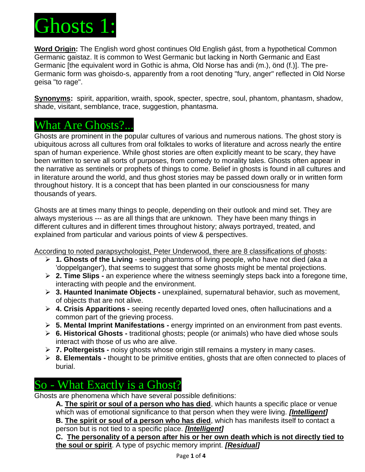

**Word Origin:** The English word ghost continues Old English gást, from a hypothetical Common Germanic gaistaz. It is common to West Germanic but lacking in North Germanic and East Germanic [the equivalent word in Gothic is ahma, Old Norse has andi (m.), önd (f.)]. The pre-Germanic form was ghoisdo-s, apparently from a root denoting "fury, anger" reflected in Old Norse geisa "to rage".

**Synonyms:** spirit, apparition, wraith, spook, specter, spectre, soul, phantom, phantasm, shadow, shade, visitant, semblance, trace, suggestion, phantasma.

## What Are Ghosts?...

Ghosts are prominent in the popular cultures of various and numerous nations. The ghost story is ubiquitous across all cultures from oral folktales to works of literature and across nearly the entire span of human experience. While ghost stories are often explicitly meant to be scary, they have been written to serve all sorts of purposes, from comedy to morality tales. Ghosts often appear in the narrative as sentinels or prophets of things to come. Belief in ghosts is found in all cultures and in literature around the world, and thus ghost stories may be passed down orally or in written form throughout history. It is a concept that has been planted in our consciousness for many thousands of years.

Ghosts are at times many things to people, depending on their outlook and mind set. They are always mysterious --- as are all things that are unknown. They have been many things in different cultures and in different times throughout history; always portrayed, treated, and explained from particular and various points of view & perspectives.

According to noted parapsychologist, Peter Underwood, there are 8 classifications of ghosts:

- ➢ **1. Ghosts of the Living** seeing phantoms of living people, who have not died (aka a 'doppelganger'), that seems to suggest that some ghosts might be mental projections.
- ➢ **2. Time Slips -** an experience where the witness seemingly steps back into a foregone time, interacting with people and the environment.
- ➢ **3. Haunted Inanimate Objects -** unexplained, supernatural behavior, such as movement, of objects that are not alive.
- ➢ **4. Crisis Apparitions -** seeing recently departed loved ones, often hallucinations and a common part of the grieving process.
- ➢ **5. Mental Imprint Manifestations -** energy imprinted on an environment from past events.
- ➢ **6. Historical Ghosts -** traditional ghosts; people (or animals) who have died whose souls interact with those of us who are alive.
- ➢ **7. Poltergeists -** noisy ghosts whose origin still remains a mystery in many cases.
- ➢ **8. Elementals -** thought to be primitive entities, ghosts that are often connected to places of burial.

## So - What Exactly is a Ghost?

Ghosts are phenomena which have several possible definitions:

**A. The spirit or soul of a person who has died**, which haunts a specific place or venue which was of emotional significance to that person when they were living. *[Intelligent]* **B. The spirit or soul of a person who has died**, which has manifests itself to contact a person but is not tied to a specific place. *[Intelligent]*

**C. The personality of a person after his or her own death which is not directly tied to the soul or spirit**. A type of psychic memory imprint. *[Residual]*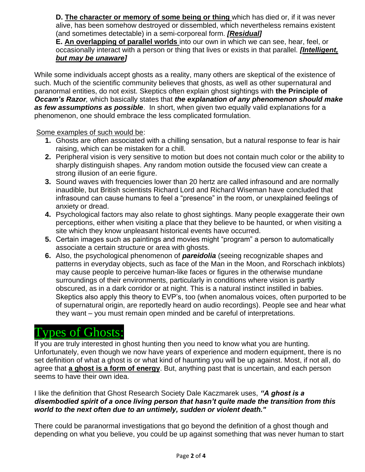**D. The character or memory of some being or thing** which has died or, if it was never alive, has been somehow destroyed or dissembled, which nevertheless remains existent (and sometimes detectable) in a semi-corporeal form. *[Residual]* 

**E. An overlapping of parallel worlds** into our own in which we can see, hear, feel, or occasionally interact with a person or thing that lives or exists in that parallel. *[Intelligent, but may be unaware]*

While some individuals accept ghosts as a reality, many others are skeptical of the existence of such. Much of the scientific community believes that ghosts, as well as other supernatural and paranormal entities, do not exist. Skeptics often explain ghost sightings with **the Principle of**  *Occam's Razor,* which basically states that *the explanation of any phenomenon should make as few assumptions as possible*. In short, when given two equally valid explanations for a phenomenon, one should embrace the less complicated formulation.

Some examples of such would be:

- **1.** Ghosts are often associated with a chilling sensation, but a natural response to fear is hair raising, which can be mistaken for a chill.
- **2.** Peripheral vision is very sensitive to motion but does not contain much color or the ability to sharply distinguish shapes. Any random motion outside the focused view can create a strong illusion of an eerie figure.
- **3.** Sound waves with frequencies lower than 20 hertz are called infrasound and are normally inaudible, but British scientists Richard Lord and Richard Wiseman have concluded that infrasound can cause humans to feel a "presence" in the room, or unexplained feelings of anxiety or dread.
- **4.** Psychological factors may also relate to ghost sightings. Many people exaggerate their own perceptions, either when visiting a place that they believe to be haunted, or when visiting a site which they know unpleasant historical events have occurred.
- **5.** Certain images such as paintings and movies might "program" a person to automatically associate a certain structure or area with ghosts.
- **6.** Also, the psychological phenomenon of *pareidolia* (seeing recognizable shapes and patterns in everyday objects, such as face of the Man in the Moon, and Rorschach inkblots) may cause people to perceive human-like faces or figures in the otherwise mundane surroundings of their environments, particularly in conditions where vision is partly obscured, as in a dark corridor or at night. This is a natural instinct instilled in babies. Skeptics also apply this theory to EVP's, too (when anomalous voices, often purported to be of supernatural origin, are reportedly heard on audio recordings). People see and hear what they want – you must remain open minded and be careful of interpretations.

# Types of Ghosts:

If you are truly interested in ghost hunting then you need to know what you are hunting. Unfortunately, even though we now have years of experience and modern equipment, there is no set definition of what a ghost is or what kind of haunting you will be up against. Most, if not all, do agree that **a ghost is a form of energy**. But, anything past that is uncertain, and each person seems to have their own idea.

#### I like the definition that Ghost Research Society Dale Kaczmarek uses, *"A ghost is a disembodied spirit of a once living person that hasn't quite made the transition from this world to the next often due to an untimely, sudden or violent death."*

There could be paranormal investigations that go beyond the definition of a ghost though and depending on what you believe, you could be up against something that was never human to start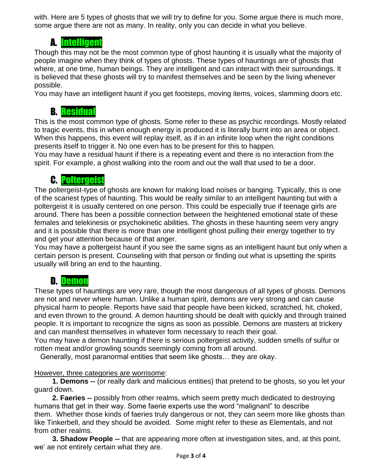with. Here are 5 types of ghosts that we will try to define for you. Some argue there is much more, some argue there are not as many. In reality, only you can decide in what you believe.

### A. Intelligent

Though this may not be the most common type of ghost haunting it is usually what the majority of people imagine when they think of types of ghosts. These types of hauntings are of ghosts that where, at one time, human beings. They are intelligent and can interact with their surroundings. It is believed that these ghosts will try to manifest themselves and be seen by the living whenever possible.

You may have an intelligent haunt if you get footsteps, moving items, voices, slamming doors etc.

### B. Residual

This is the most common type of ghosts. Some refer to these as psychic recordings. Mostly related to tragic events, this in when enough energy is produced it is literally burnt into an area or object. When this happens, this event will replay itself, as if in an infinite loop when the right conditions presents itself to trigger it. No one even has to be present for this to happen.

You may have a residual haunt if there is a repeating event and there is no interaction from the spirit. For example, a ghost walking into the room and out the wall that used to be a door.

### C. Poltergeist

The poltergeist-type of ghosts are known for making load noises or banging. Typically, this is one of the scariest types of haunting. This would be really similar to an intelligent haunting but with a poltergeist it is usually centered on one person. This could be especially true if teenage girls are around. There has been a possible connection between the heightened emotional state of these females and telekinesis or psychokinetic abilities. The ghosts in these haunting seem very angry and it is possible that there is more than one intelligent ghost pulling their energy together to try and get your attention because of that anger.

You may have a poltergeist haunt if you see the same signs as an intelligent haunt but only when a certain person is present. Counseling with that person or finding out what is upsetting the spirits usually will bring an end to the haunting.

### D. Demon

These types of hauntings are very rare, though the most dangerous of all types of ghosts. Demons are not and never where human. Unlike a human spirit, demons are very strong and can cause physical harm to people. Reports have said that people have been kicked, scratched, hit, choked, and even thrown to the ground. A demon haunting should be dealt with quickly and through trained people. It is important to recognize the signs as soon as possible. Demons are masters at trickery and can manifest themselves in whatever form necessary to reach their goal.

You may have a demon haunting if there is serious poltergeist activity, sudden smells of sulfur or rotten meat and/or growling sounds seemingly coming from all around.

Generally, most paranormal entities that seem like ghosts… they are okay.

#### However, three categories are worrisome:

 **1. Demons --** (or really dark and malicious entities) that pretend to be ghosts, so you let your guard down.

 **2. Faeries --** possibly from other realms, which seem pretty much dedicated to destroying humans that get in their way. Some faerie experts use the word "malignant" to describe them. Whether those kinds of faeries truly dangerous or not, they can seem more like ghosts than like Tinkerbell, and they should be avoided. Some might refer to these as Elementals, and not from other realms.

 **3. Shadow People --** that are appearing more often at investigation sites, and, at this point, we' ae not entirely certain what they are.